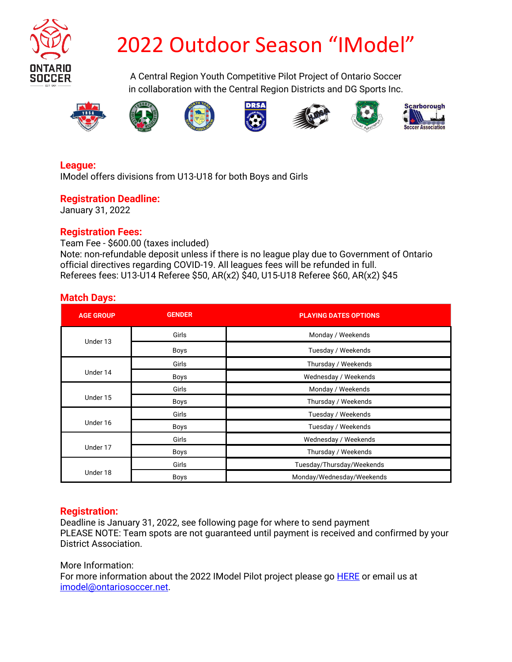

## 2022 Outdoor Season "IModel"

A Central Region Youth Competitive Pilot Project of Ontario Soccer in collaboration with the Central Region Districts and DG Sports Inc.















#### **League:**

IModel offers divisions from U13-U18 for both Boys and Girls

#### **Registration Deadline:**

January 31, 2022

#### **Registration Fees:**

Team Fee - \$600.00 (taxes included) Note: non-refundable deposit unless if there is no league play due to Government of Ontario official directives regarding COVID-19. All leagues fees will be refunded in full. Referees fees: U13-U14 Referee \$50, AR(x2) \$40, U15-U18 Referee \$60, AR(x2) \$45

#### **Match Days:**

| <b>AGE GROUP</b> | <b>GENDER</b> | <b>PLAYING DATES OPTIONS</b> |  |  |  |
|------------------|---------------|------------------------------|--|--|--|
| Under 13         | Girls         | Monday / Weekends            |  |  |  |
|                  | Boys          | Tuesday / Weekends           |  |  |  |
| Under 14         | Girls         | Thursday / Weekends          |  |  |  |
|                  | Boys          | Wednesday / Weekends         |  |  |  |
| Under 15         | Girls         | Monday / Weekends            |  |  |  |
|                  | <b>Boys</b>   | Thursday / Weekends          |  |  |  |
| Under 16         | Girls         | Tuesday / Weekends           |  |  |  |
|                  | Boys          | Tuesday / Weekends           |  |  |  |
| Under 17         | Girls         | Wednesday / Weekends         |  |  |  |
|                  | <b>Boys</b>   | Thursday / Weekends          |  |  |  |
| Under 18         | Girls         | Tuesday/Thursday/Weekends    |  |  |  |
|                  | Boys          | Monday/Wednesday/Weekends    |  |  |  |

#### **Registration:**

Deadline is January 31, 2022, see following page for where to send payment PLEASE NOTE: Team spots are not guaranteed until payment is received and confirmed by your District Association.

More Information: For more information about the 2022 IModel Pilot project please go HERE or email us at imodel@ontariosoccer.net.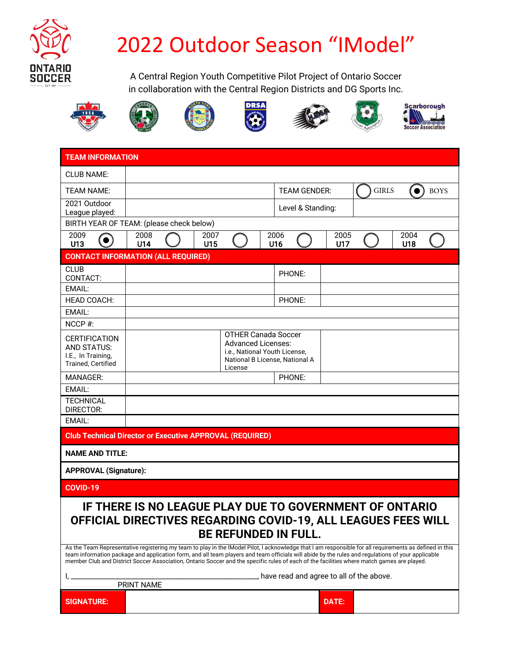

## 2022 Outdoor Season "IModel"

A Central Region Youth Competitive Pilot Project of Ontario Soccer in collaboration with the Central Region Districts and DG Sports Inc.















**Scarborough** اسلس Soccer Association

| <b>TEAM INFORMATION</b>                                                                                                                                                                                                                                                                                                                                                                                                                                                                                                                                                                                                                                                        |                                                                                                                                       |                                                                 |                     |             |                                  |             |  |  |
|--------------------------------------------------------------------------------------------------------------------------------------------------------------------------------------------------------------------------------------------------------------------------------------------------------------------------------------------------------------------------------------------------------------------------------------------------------------------------------------------------------------------------------------------------------------------------------------------------------------------------------------------------------------------------------|---------------------------------------------------------------------------------------------------------------------------------------|-----------------------------------------------------------------|---------------------|-------------|----------------------------------|-------------|--|--|
| <b>CLUB NAME:</b>                                                                                                                                                                                                                                                                                                                                                                                                                                                                                                                                                                                                                                                              |                                                                                                                                       |                                                                 |                     |             |                                  |             |  |  |
| <b>TEAM NAME:</b>                                                                                                                                                                                                                                                                                                                                                                                                                                                                                                                                                                                                                                                              |                                                                                                                                       |                                                                 | <b>TEAM GENDER:</b> |             | <b>GIRLS</b><br><b>BOYS</b><br>0 |             |  |  |
| 2021 Outdoor<br>League played:                                                                                                                                                                                                                                                                                                                                                                                                                                                                                                                                                                                                                                                 |                                                                                                                                       |                                                                 | Level & Standing:   |             |                                  |             |  |  |
|                                                                                                                                                                                                                                                                                                                                                                                                                                                                                                                                                                                                                                                                                | BIRTH YEAR OF TEAM: (please check below)                                                                                              |                                                                 |                     |             |                                  |             |  |  |
| 2009<br>U13                                                                                                                                                                                                                                                                                                                                                                                                                                                                                                                                                                                                                                                                    | 2008<br>U14                                                                                                                           | 2007<br>U15                                                     | 2006<br>U16         | 2005<br>U17 |                                  | 2004<br>U18 |  |  |
| <b>CONTACT INFORMATION (ALL REQUIRED)</b>                                                                                                                                                                                                                                                                                                                                                                                                                                                                                                                                                                                                                                      |                                                                                                                                       |                                                                 |                     |             |                                  |             |  |  |
| <b>CLUB</b><br>CONTACT:                                                                                                                                                                                                                                                                                                                                                                                                                                                                                                                                                                                                                                                        |                                                                                                                                       |                                                                 | PHONE:              |             |                                  |             |  |  |
| EMAIL:                                                                                                                                                                                                                                                                                                                                                                                                                                                                                                                                                                                                                                                                         |                                                                                                                                       |                                                                 |                     |             |                                  |             |  |  |
| <b>HEAD COACH:</b>                                                                                                                                                                                                                                                                                                                                                                                                                                                                                                                                                                                                                                                             |                                                                                                                                       |                                                                 | PHONE:              |             |                                  |             |  |  |
| EMAIL:<br>$NCCP \#$                                                                                                                                                                                                                                                                                                                                                                                                                                                                                                                                                                                                                                                            |                                                                                                                                       |                                                                 |                     |             |                                  |             |  |  |
| <b>CERTIFICATION</b><br><b>AND STATUS:</b><br>I.E., In Training,<br><b>Trained. Certified</b>                                                                                                                                                                                                                                                                                                                                                                                                                                                                                                                                                                                  | <b>OTHER Canada Soccer</b><br><b>Advanced Licenses:</b><br>i.e., National Youth License,<br>National B License, National A<br>License |                                                                 |                     |             |                                  |             |  |  |
| <b>MANAGER:</b>                                                                                                                                                                                                                                                                                                                                                                                                                                                                                                                                                                                                                                                                |                                                                                                                                       |                                                                 | PHONE:              |             |                                  |             |  |  |
| EMAIL:                                                                                                                                                                                                                                                                                                                                                                                                                                                                                                                                                                                                                                                                         |                                                                                                                                       |                                                                 |                     |             |                                  |             |  |  |
| <b>TECHNICAL</b><br>DIRECTOR:                                                                                                                                                                                                                                                                                                                                                                                                                                                                                                                                                                                                                                                  |                                                                                                                                       |                                                                 |                     |             |                                  |             |  |  |
| EMAIL:                                                                                                                                                                                                                                                                                                                                                                                                                                                                                                                                                                                                                                                                         |                                                                                                                                       |                                                                 |                     |             |                                  |             |  |  |
|                                                                                                                                                                                                                                                                                                                                                                                                                                                                                                                                                                                                                                                                                |                                                                                                                                       | <b>Club Technical Director or Executive APPROVAL (REQUIRED)</b> |                     |             |                                  |             |  |  |
| <b>NAME AND TITLE:</b>                                                                                                                                                                                                                                                                                                                                                                                                                                                                                                                                                                                                                                                         |                                                                                                                                       |                                                                 |                     |             |                                  |             |  |  |
| <b>APPROVAL (Signature):</b>                                                                                                                                                                                                                                                                                                                                                                                                                                                                                                                                                                                                                                                   |                                                                                                                                       |                                                                 |                     |             |                                  |             |  |  |
| <b>COVID-19</b>                                                                                                                                                                                                                                                                                                                                                                                                                                                                                                                                                                                                                                                                |                                                                                                                                       |                                                                 |                     |             |                                  |             |  |  |
| IF THERE IS NO LEAGUE PLAY DUE TO GOVERNMENT OF ONTARIO<br>OFFICIAL DIRECTIVES REGARDING COVID-19, ALL LEAGUES FEES WILL<br><b>BE REFUNDED IN FULL.</b><br>As the Team Representative registering my team to play in the IModel Pilot, I acknowledge that I am responsible for all requirements as defined in this<br>team information package and application form, and all team players and team officials will abide by the rules and regulations of your applicable<br>member Club and District Soccer Association, Ontario Soccer and the specific rules of each of the facilities where match games are played.<br>The read and agree to all of the above.<br>PRINT NAME |                                                                                                                                       |                                                                 |                     |             |                                  |             |  |  |
| <b>SIGNATURE:</b>                                                                                                                                                                                                                                                                                                                                                                                                                                                                                                                                                                                                                                                              |                                                                                                                                       |                                                                 |                     | DATE:       |                                  |             |  |  |